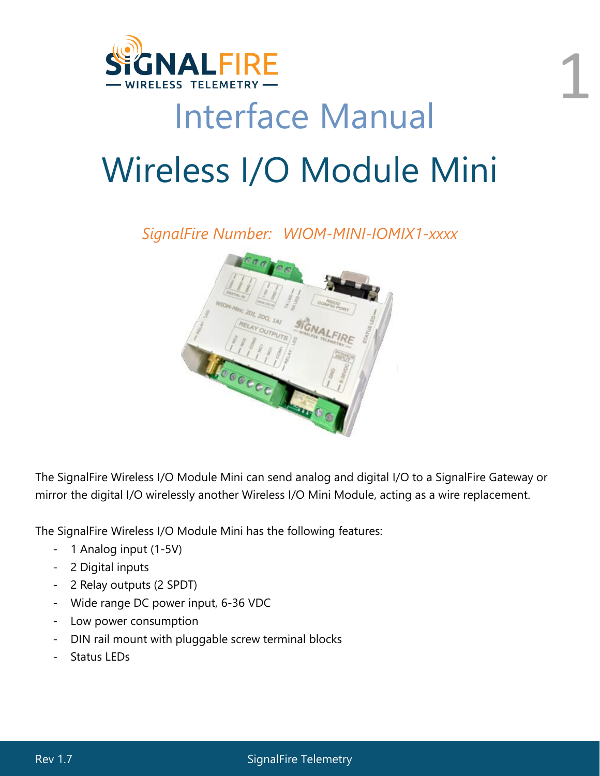

## Interface Manual Wireless I/O Module Mini

1

*SignalFire Number: WIOM-MINI-IOMIX1-xxxx*



The SignalFire Wireless I/O Module Mini can send analog and digital I/O to a SignalFire Gateway or mirror the digital I/O wirelessly another Wireless I/O Mini Module, acting as a wire replacement.

The SignalFire Wireless I/O Module Mini has the following features:

- 1 Analog input (1-5V)
- 2 Digital inputs
- 2 Relay outputs (2 SPDT)
- Wide range DC power input, 6-36 VDC
- Low power consumption
- DIN rail mount with pluggable screw terminal blocks
- Status LEDs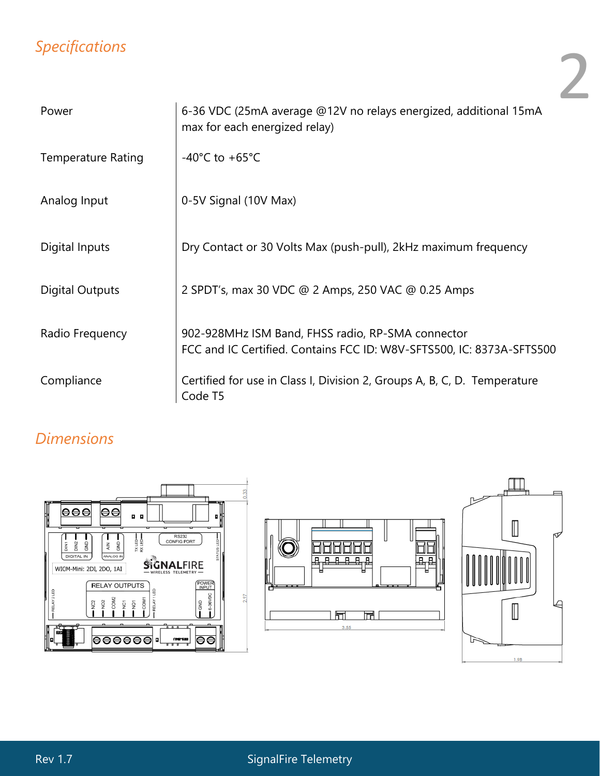## *Specifications*

| specylications            |                                                                                                                            |
|---------------------------|----------------------------------------------------------------------------------------------------------------------------|
| Power                     | 6-36 VDC (25mA average @12V no relays energized, additional 15mA<br>max for each energized relay)                          |
| <b>Temperature Rating</b> | -40°C to +65°C                                                                                                             |
| Analog Input              | 0-5V Signal (10V Max)                                                                                                      |
| Digital Inputs            | Dry Contact or 30 Volts Max (push-pull), 2kHz maximum frequency                                                            |
| <b>Digital Outputs</b>    | 2 SPDT's, max 30 VDC @ 2 Amps, 250 VAC @ 0.25 Amps                                                                         |
| Radio Frequency           | 902-928MHz ISM Band, FHSS radio, RP-SMA connector<br>FCC and IC Certified. Contains FCC ID: W8V-SFTS500, IC: 8373A-SFTS500 |
| Compliance                | Certified for use in Class I, Division 2, Groups A, B, C, D. Temperature<br>Code T5                                        |

## *Dimensions*





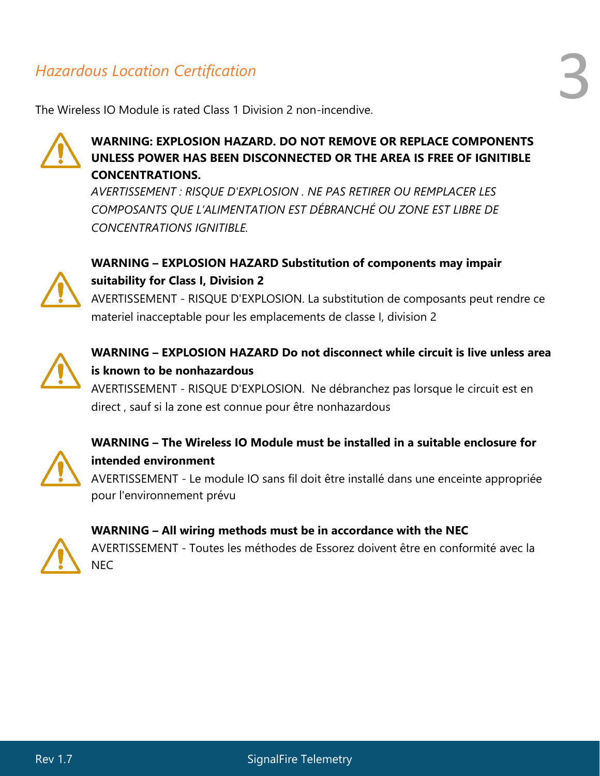## *Hazardous Location Certification*

The Wireless IO Module is rated Class 1 Division 2 non-incendive.



## **WARNING: EXPLOSION HAZARD. DO NOT REMOVE OR REPLACE COMPONENTS UNLESS POWER HAS BEEN DISCONNECTED OR THE AREA IS FREE OF IGNITIBLE CONCENTRATIONS.**

*AVERTISSEMENT : RISQUE D'EXPLOSION . NE PAS RETIRER OU REMPLACER LES COMPOSANTS QUE L'ALIMENTATION EST DÉBRANCHÉ OU ZONE EST LIBRE DE CONCENTRATIONS IGNITIBLE.*



## **WARNING – EXPLOSION HAZARD Substitution of components may impair suitability for Class I, Division 2**

AVERTISSEMENT - RISQUE D'EXPLOSION. La substitution de composants peut rendre ce materiel inacceptable pour les emplacements de classe I, division 2



## **WARNING – EXPLOSION HAZARD Do not disconnect while circuit is live unless area is known to be nonhazardous**

AVERTISSEMENT - RISQUE D'EXPLOSION. Ne débranchez pas lorsque le circuit est en direct , sauf si la zone est connue pour être nonhazardous



## **WARNING – The Wireless IO Module must be installed in a suitable enclosure for intended environment**

AVERTISSEMENT - Le module IO sans fil doit être installé dans une enceinte appropriée pour l'environnement prévu



## **WARNING – All wiring methods must be in accordance with the NEC**

AVERTISSEMENT - Toutes les méthodes de Essorez doivent être en conformité avec la NEC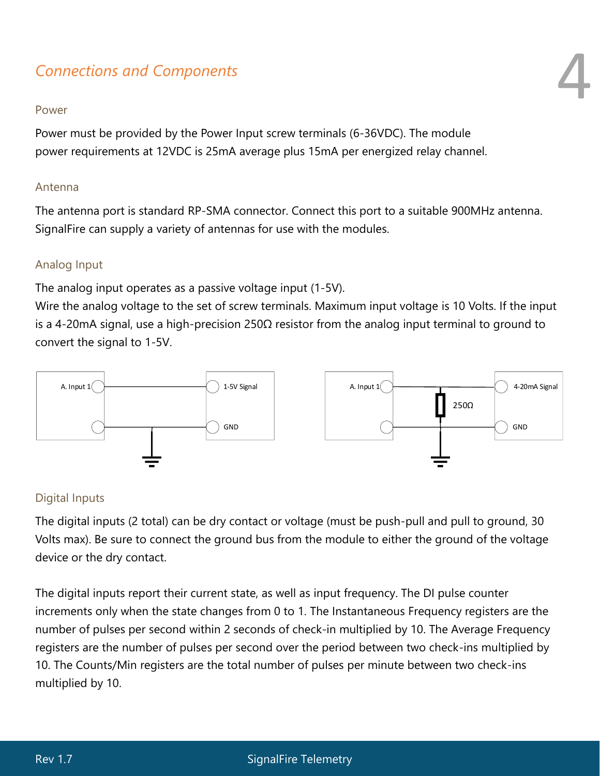## *Connections and Components*

#### Power

Power must be provided by the Power Input screw terminals (6-36VDC). The module power requirements at 12VDC is 25mA average plus 15mA per energized relay channel.

#### Antenna

The antenna port is standard RP-SMA connector. Connect this port to a suitable 900MHz antenna. SignalFire can supply a variety of antennas for use with the modules.

4

## Analog Input

The analog input operates as a passive voltage input (1-5V).

Wire the analog voltage to the set of screw terminals. Maximum input voltage is 10 Volts. If the input is a 4-20mA signal, use a high-precision 250Ω resistor from the analog input terminal to ground to convert the signal to 1-5V.



## Digital Inputs

The digital inputs (2 total) can be dry contact or voltage (must be push-pull and pull to ground, 30 Volts max). Be sure to connect the ground bus from the module to either the ground of the voltage device or the dry contact.

The digital inputs report their current state, as well as input frequency. The DI pulse counter increments only when the state changes from 0 to 1. The Instantaneous Frequency registers are the number of pulses per second within 2 seconds of check-in multiplied by 10. The Average Frequency registers are the number of pulses per second over the period between two check-ins multiplied by 10. The Counts/Min registers are the total number of pulses per minute between two check-ins multiplied by 10.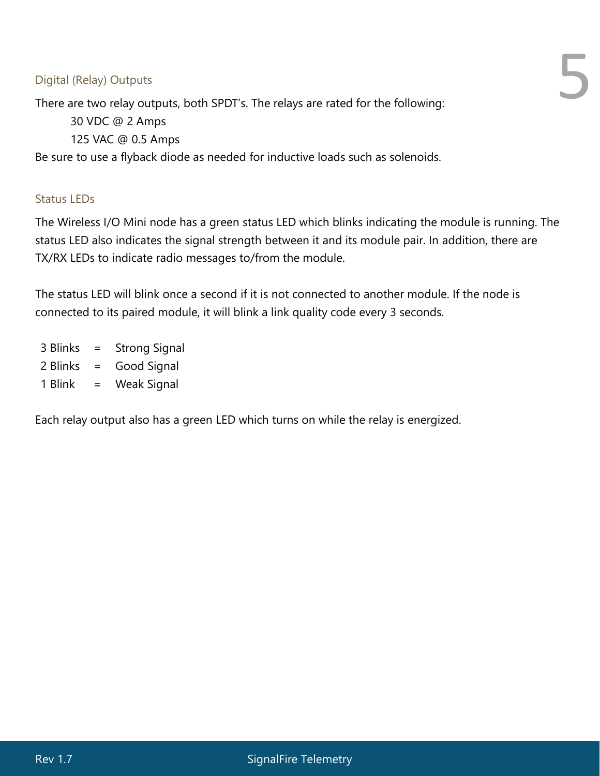## Digital (Relay) Outputs

There are two relay outputs, both SPDT's. The relays are rated for the following: 5

30 VDC @ 2 Amps 125 VAC @ 0.5 Amps

Be sure to use a flyback diode as needed for inductive loads such as solenoids.

## Status LEDs

The Wireless I/O Mini node has a green status LED which blinks indicating the module is running. The status LED also indicates the signal strength between it and its module pair. In addition, there are TX/RX LEDs to indicate radio messages to/from the module.

The status LED will blink once a second if it is not connected to another module. If the node is connected to its paired module, it will blink a link quality code every 3 seconds.

3 Blinks = Strong Signal 2 Blinks = Good Signal 1 Blink = Weak Signal

Each relay output also has a green LED which turns on while the relay is energized.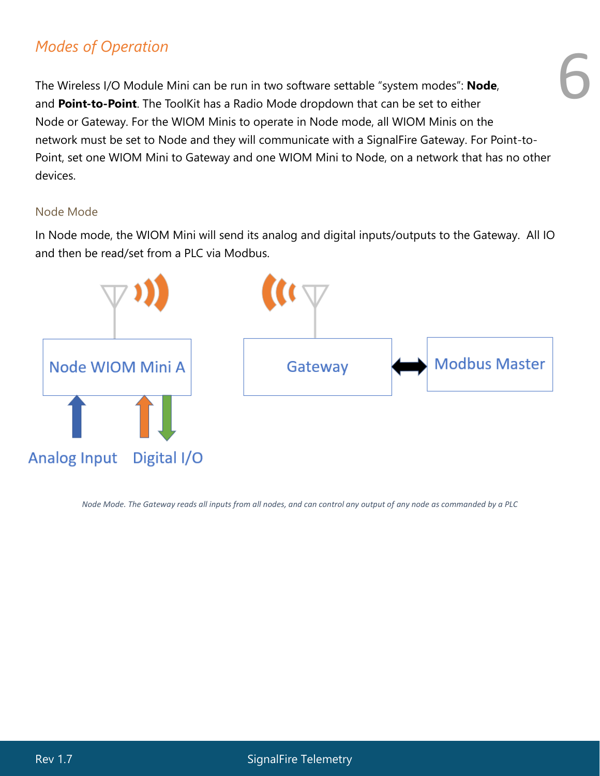## *Modes of Operation*

The Wireless I/O Module Mini can be run in two software settable "system modes": **Node**, and **Point-to-Point**. The ToolKit has a Radio Mode dropdown that can be set to either Node or Gateway. For the WIOM Minis to operate in Node mode, all WIOM Minis on the network must be set to Node and they will communicate with a SignalFire Gateway. For Point-to-Point, set one WIOM Mini to Gateway and one WIOM Mini to Node, on a network that has no other devices.

6

#### Node Mode

In Node mode, the WIOM Mini will send its analog and digital inputs/outputs to the Gateway. All IO and then be read/set from a PLC via Modbus.



*Node Mode. The Gateway reads all inputs from all nodes, and can control any output of any node as commanded by a PLC*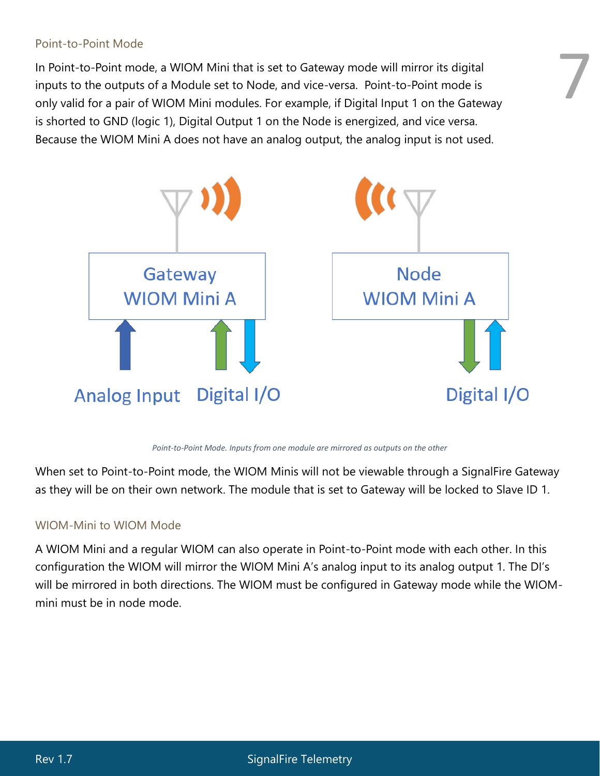#### Point-to-Point Mode

In Point-to-Point mode, a WIOM Mini that is set to Gateway mode will mirror its digital inputs to the outputs of a Module set to Node, and vice-versa. Point-to-Point mode is only valid for a pair of WIOM Mini modules. For example, if Digital Input 1 on the Gateway is shorted to GND (logic 1), Digital Output 1 on the Node is energized, and vice versa. Because the WIOM Mini A does not have an analog output, the analog input is not used.

7



*Point-to-Point Mode. Inputs from one module are mirrored as outputs on the other*

When set to Point-to-Point mode, the WIOM Minis will not be viewable through a SignalFire Gateway as they will be on their own network. The module that is set to Gateway will be locked to Slave ID 1.

#### WIOM-Mini to WIOM Mode

A WIOM Mini and a regular WIOM can also operate in Point-to-Point mode with each other. In this configuration the WIOM will mirror the WIOM Mini A's analog input to its analog output 1. The DI's will be mirrored in both directions. The WIOM must be configured in Gateway mode while the WIOMmini must be in node mode.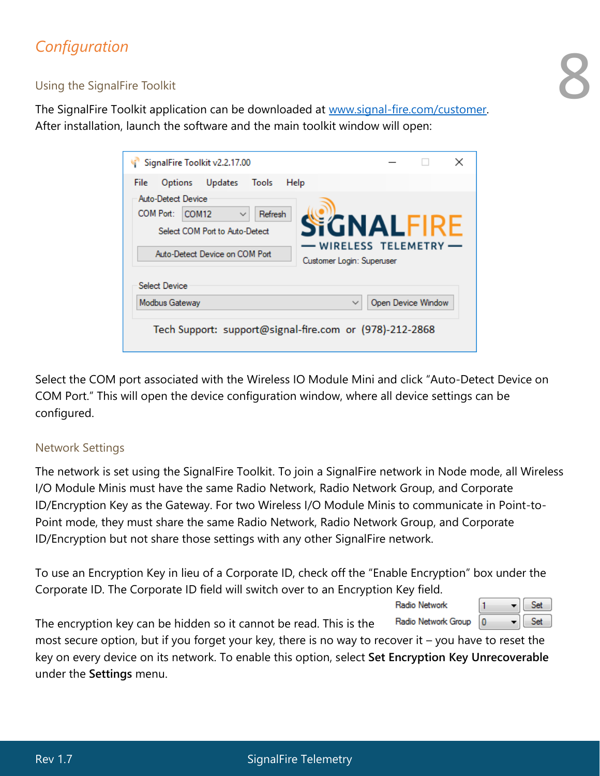## *Configuration*

## Using the SignalFire Toolkit

The SignalFire Toolkit application can be downloaded at [www.signal-fire.com/customer.](http://www.signal-fire.com/customer) After installation, launch the software and the main toolkit window will open:

| SignalFire Toolkit v2.2.17.00                                                                                                                                                                                                 | ×                  |  |  |  |
|-------------------------------------------------------------------------------------------------------------------------------------------------------------------------------------------------------------------------------|--------------------|--|--|--|
| Updates<br><b>File</b><br>Tools<br>Options                                                                                                                                                                                    | Help               |  |  |  |
| Auto-Detect Device<br>COM Port:<br>Refresh<br>COM <sub>12</sub><br>$\checkmark$<br><b>SIGNALFIRE</b><br>Select COM Port to Auto-Detect<br>- WIRELESS TELEMETRY<br>Auto-Detect Device on COM Port<br>Customer Login: Superuser |                    |  |  |  |
| Select Device                                                                                                                                                                                                                 |                    |  |  |  |
| Modbus Gateway                                                                                                                                                                                                                | Open Device Window |  |  |  |
| Tech Support: support@signal-fire.com or (978)-212-2868                                                                                                                                                                       |                    |  |  |  |

Select the COM port associated with the Wireless IO Module Mini and click "Auto-Detect Device on COM Port." This will open the device configuration window, where all device settings can be configured.

#### Network Settings

The network is set using the SignalFire Toolkit. To join a SignalFire network in Node mode, all Wireless I/O Module Minis must have the same Radio Network, Radio Network Group, and Corporate ID/Encryption Key as the Gateway. For two Wireless I/O Module Minis to communicate in Point-to-Point mode, they must share the same Radio Network, Radio Network Group, and Corporate ID/Encryption but not share those settings with any other SignalFire network.

To use an Encryption Key in lieu of a Corporate ID, check off the "Enable Encryption" box under the Corporate ID. The Corporate ID field will switch over to an Encryption Key field.

Radio Network

Set  $\mathbf{1}$ ۰ Radio Network Group  $\overline{0}$ Set

The encryption key can be hidden so it cannot be read. This is the

most secure option, but if you forget your key, there is no way to recover it – you have to reset the key on every device on its network. To enable this option, select **Set Encryption Key Unrecoverable** under the **Settings** menu.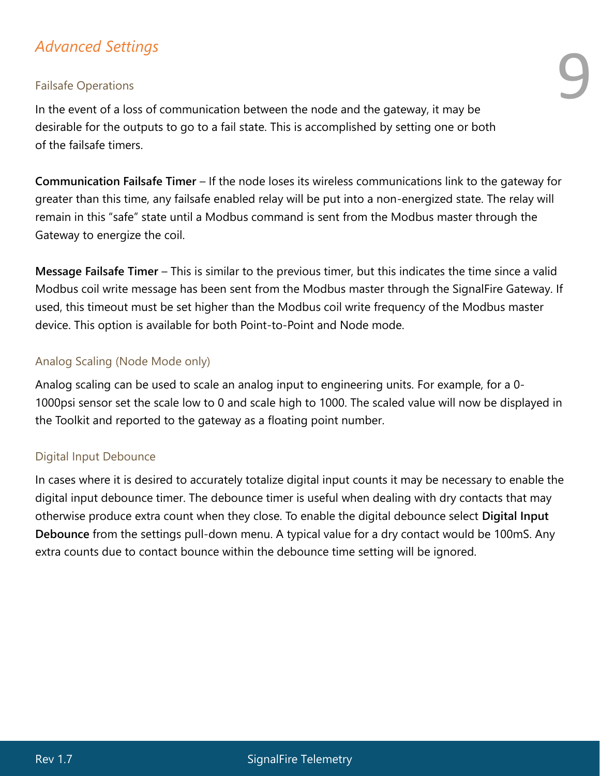## *Advanced Settings*

#### Failsafe Operations

In the event of a loss of communication between the node and the gateway, it may be desirable for the outputs to go to a fail state. This is accomplished by setting one or both of the failsafe timers.

**Communication Failsafe Timer** – If the node loses its wireless communications link to the gateway for greater than this time, any failsafe enabled relay will be put into a non-energized state. The relay will remain in this "safe" state until a Modbus command is sent from the Modbus master through the Gateway to energize the coil.

9

**Message Failsafe Timer** – This is similar to the previous timer, but this indicates the time since a valid Modbus coil write message has been sent from the Modbus master through the SignalFire Gateway. If used, this timeout must be set higher than the Modbus coil write frequency of the Modbus master device. This option is available for both Point-to-Point and Node mode.

#### Analog Scaling (Node Mode only)

Analog scaling can be used to scale an analog input to engineering units. For example, for a 0- 1000psi sensor set the scale low to 0 and scale high to 1000. The scaled value will now be displayed in the Toolkit and reported to the gateway as a floating point number.

#### Digital Input Debounce

In cases where it is desired to accurately totalize digital input counts it may be necessary to enable the digital input debounce timer. The debounce timer is useful when dealing with dry contacts that may otherwise produce extra count when they close. To enable the digital debounce select **Digital Input Debounce** from the settings pull-down menu. A typical value for a dry contact would be 100mS. Any extra counts due to contact bounce within the debounce time setting will be ignored.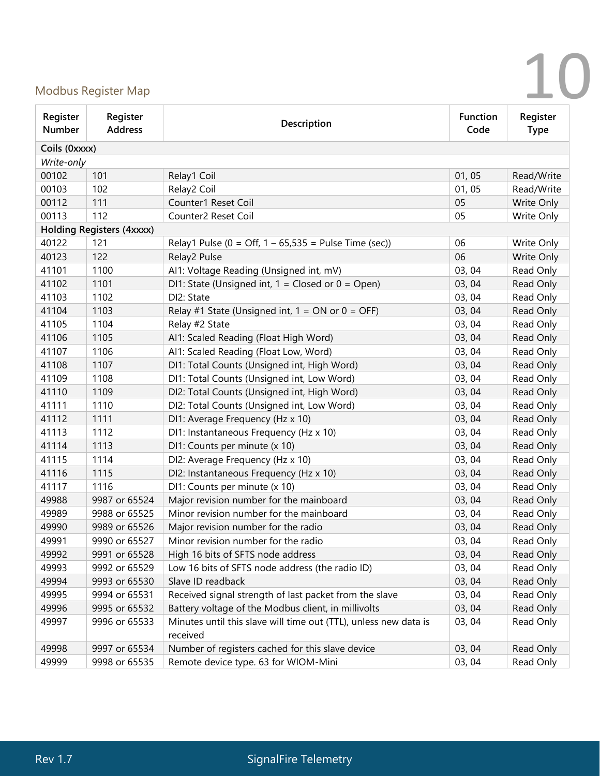# Modbus Register Map

| Register<br>Number | Register<br><b>Address</b> | Description                                                                  | <b>Function</b><br>Code | Register<br><b>Type</b> |  |  |
|--------------------|----------------------------|------------------------------------------------------------------------------|-------------------------|-------------------------|--|--|
| Coils (0xxxx)      |                            |                                                                              |                         |                         |  |  |
| Write-only         |                            |                                                                              |                         |                         |  |  |
| 00102              | 101                        | Relay1 Coil                                                                  | 01,05                   | Read/Write              |  |  |
| 00103              | 102                        | Relay2 Coil                                                                  | 01,05                   | Read/Write              |  |  |
| 00112              | 111                        | Counter1 Reset Coil                                                          | 05                      | Write Only              |  |  |
| 00113              | 112                        | Counter2 Reset Coil                                                          | 05                      | Write Only              |  |  |
|                    | Holding Registers (4xxxx)  |                                                                              |                         |                         |  |  |
| 40122              | 121                        | Relay1 Pulse ( $0 = \text{Off}, 1 - 65,535 = \text{Pulse Time (sec)}$ )      | 06                      | Write Only              |  |  |
| 40123              | 122                        | Relay2 Pulse                                                                 | 06                      | Write Only              |  |  |
| 41101              | 1100                       | Al1: Voltage Reading (Unsigned int, mV)                                      | 03, 04                  | Read Only               |  |  |
| 41102              | 1101                       | DI1: State (Unsigned int, $1 = Closed$ or $0 = Open$ )                       | 03, 04                  | Read Only               |  |  |
| 41103              | 1102                       | DI2: State                                                                   | 03, 04                  | Read Only               |  |  |
| 41104              | 1103                       | Relay #1 State (Unsigned int, $1 = ON$ or $0 = OFF$ )                        | 03, 04                  | Read Only               |  |  |
| 41105              | 1104                       | Relay #2 State                                                               | 03, 04                  | Read Only               |  |  |
| 41106              | 1105                       | Al1: Scaled Reading (Float High Word)                                        | 03, 04                  | Read Only               |  |  |
| 41107              | 1106                       | Al1: Scaled Reading (Float Low, Word)                                        | 03, 04                  | Read Only               |  |  |
| 41108              | 1107                       | DI1: Total Counts (Unsigned int, High Word)                                  | 03, 04                  | Read Only               |  |  |
| 41109              | 1108                       | DI1: Total Counts (Unsigned int, Low Word)                                   | 03, 04                  | Read Only               |  |  |
| 41110              | 1109                       | DI2: Total Counts (Unsigned int, High Word)                                  | 03, 04                  | Read Only               |  |  |
| 41111              | 1110                       | DI2: Total Counts (Unsigned int, Low Word)                                   | 03, 04                  | Read Only               |  |  |
| 41112              | 1111                       | DI1: Average Frequency (Hz x 10)                                             | 03, 04                  | Read Only               |  |  |
| 41113              | 1112                       | DI1: Instantaneous Frequency (Hz x 10)                                       | 03, 04                  | Read Only               |  |  |
| 41114              | 1113                       | DI1: Counts per minute (x 10)                                                | 03, 04                  | Read Only               |  |  |
| 41115              | 1114                       | DI2: Average Frequency (Hz x 10)                                             | 03, 04                  | Read Only               |  |  |
| 41116              | 1115                       | DI2: Instantaneous Frequency (Hz x 10)                                       | 03, 04                  | Read Only               |  |  |
| 41117              | 1116                       | DI1: Counts per minute (x 10)                                                | 03, 04                  | Read Only               |  |  |
| 49988              | 9987 or 65524              | Major revision number for the mainboard                                      | 03, 04                  | Read Only               |  |  |
| 49989              | 9988 or 65525              | Minor revision number for the mainboard                                      | 03, 04                  | Read Only               |  |  |
| 49990              | 9989 or 65526              | Major revision number for the radio                                          | 03, 04                  | Read Only               |  |  |
| 49991              | 9990 or 65527              | Minor revision number for the radio                                          | 03, 04                  | Read Only               |  |  |
| 49992              | 9991 or 65528              | High 16 bits of SFTS node address                                            | 03, 04                  | Read Only               |  |  |
| 49993              | 9992 or 65529              | Low 16 bits of SFTS node address (the radio ID)                              | 03, 04                  | Read Only               |  |  |
| 49994              | 9993 or 65530              | Slave ID readback                                                            | 03, 04                  | Read Only               |  |  |
| 49995              | 9994 or 65531              | Received signal strength of last packet from the slave                       | 03, 04                  | Read Only               |  |  |
| 49996              | 9995 or 65532              | Battery voltage of the Modbus client, in millivolts                          | 03, 04                  | Read Only               |  |  |
| 49997              | 9996 or 65533              | Minutes until this slave will time out (TTL), unless new data is<br>received | 03, 04                  | Read Only               |  |  |
| 49998              | 9997 or 65534              | Number of registers cached for this slave device                             | 03, 04                  | Read Only               |  |  |
| 49999              | 9998 or 65535              | Remote device type. 63 for WIOM-Mini                                         | 03, 04                  | Read Only               |  |  |

## Rev 1.7 SignalFire Telemetry